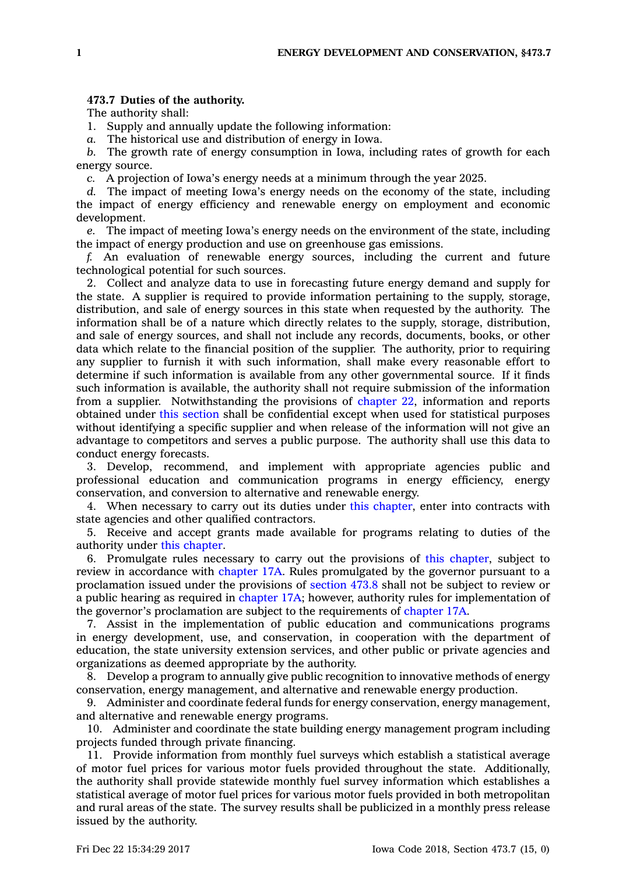## **473.7 Duties of the authority.**

The authority shall:

1. Supply and annually update the following information:

*a.* The historical use and distribution of energy in Iowa.

*b.* The growth rate of energy consumption in Iowa, including rates of growth for each energy source.

*c.* A projection of Iowa's energy needs at <sup>a</sup> minimum through the year 2025.

*d.* The impact of meeting Iowa's energy needs on the economy of the state, including the impact of energy efficiency and renewable energy on employment and economic development.

*e.* The impact of meeting Iowa's energy needs on the environment of the state, including the impact of energy production and use on greenhouse gas emissions.

*f.* An evaluation of renewable energy sources, including the current and future technological potential for such sources.

2. Collect and analyze data to use in forecasting future energy demand and supply for the state. A supplier is required to provide information pertaining to the supply, storage, distribution, and sale of energy sources in this state when requested by the authority. The information shall be of <sup>a</sup> nature which directly relates to the supply, storage, distribution, and sale of energy sources, and shall not include any records, documents, books, or other data which relate to the financial position of the supplier. The authority, prior to requiring any supplier to furnish it with such information, shall make every reasonable effort to determine if such information is available from any other governmental source. If it finds such information is available, the authority shall not require submission of the information from <sup>a</sup> supplier. Notwithstanding the provisions of [chapter](https://www.legis.iowa.gov/docs/code//22.pdf) 22, information and reports obtained under this [section](https://www.legis.iowa.gov/docs/code/473.7.pdf) shall be confidential except when used for statistical purposes without identifying <sup>a</sup> specific supplier and when release of the information will not give an advantage to competitors and serves <sup>a</sup> public purpose. The authority shall use this data to conduct energy forecasts.

3. Develop, recommend, and implement with appropriate agencies public and professional education and communication programs in energy efficiency, energy conservation, and conversion to alternative and renewable energy.

4. When necessary to carry out its duties under this [chapter](https://www.legis.iowa.gov/docs/code//473.pdf), enter into contracts with state agencies and other qualified contractors.

5. Receive and accept grants made available for programs relating to duties of the authority under this [chapter](https://www.legis.iowa.gov/docs/code//473.pdf).

6. Promulgate rules necessary to carry out the provisions of this [chapter](https://www.legis.iowa.gov/docs/code//473.pdf), subject to review in accordance with [chapter](https://www.legis.iowa.gov/docs/code//17A.pdf) 17A. Rules promulgated by the governor pursuant to <sup>a</sup> proclamation issued under the provisions of [section](https://www.legis.iowa.gov/docs/code/473.8.pdf) 473.8 shall not be subject to review or <sup>a</sup> public hearing as required in [chapter](https://www.legis.iowa.gov/docs/code//17A.pdf) 17A; however, authority rules for implementation of the governor's proclamation are subject to the requirements of [chapter](https://www.legis.iowa.gov/docs/code//17A.pdf) 17A.

7. Assist in the implementation of public education and communications programs in energy development, use, and conservation, in cooperation with the department of education, the state university extension services, and other public or private agencies and organizations as deemed appropriate by the authority.

8. Develop <sup>a</sup> program to annually give public recognition to innovative methods of energy conservation, energy management, and alternative and renewable energy production.

9. Administer and coordinate federal funds for energy conservation, energy management, and alternative and renewable energy programs.

10. Administer and coordinate the state building energy management program including projects funded through private financing.

11. Provide information from monthly fuel surveys which establish <sup>a</sup> statistical average of motor fuel prices for various motor fuels provided throughout the state. Additionally, the authority shall provide statewide monthly fuel survey information which establishes <sup>a</sup> statistical average of motor fuel prices for various motor fuels provided in both metropolitan and rural areas of the state. The survey results shall be publicized in <sup>a</sup> monthly press release issued by the authority.